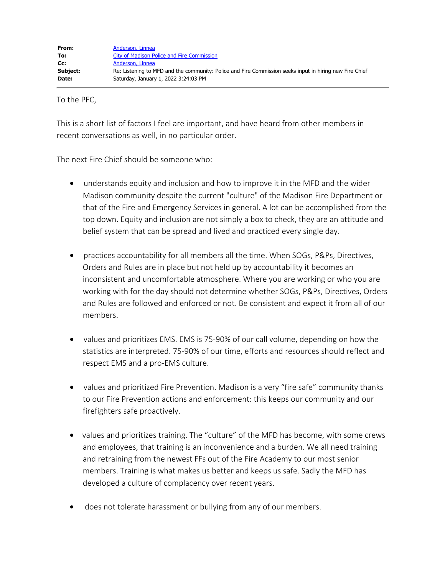To the PFC,

This is a short list of factors I feel are important, and have heard from other members in recent conversations as well, in no particular order.

The next Fire Chief should be someone who:

- · understands equity and inclusion and how to improve it in the MFD and the wider Madison community despite the current "culture" of the Madison Fire Department or that of the Fire and Emergency Services in general. A lot can be accomplished from the top down. Equity and inclusion are not simply a box to check, they are an attitude and belief system that can be spread and lived and practiced every single day.
- · practices accountability for all members all the time. When SOGs, P&Ps, Directives, Orders and Rules are in place but not held up by accountability it becomes an inconsistent and uncomfortable atmosphere. Where you are working or who you are working with for the day should not determine whether SOGs, P&Ps, Directives, Orders and Rules are followed and enforced or not. Be consistent and expect it from all of our members.
- · values and prioritizes EMS. EMS is 75-90% of our call volume, depending on how the statistics are interpreted. 75-90% of our time, efforts and resources should reflect and respect EMS and a pro-EMS culture.
- values and prioritized Fire Prevention. Madison is a very "fire safe" community thanks to our Fire Prevention actions and enforcement: this keeps our community and our firefighters safe proactively.
- values and prioritizes training. The "culture" of the MFD has become, with some crews and employees, that training is an inconvenience and a burden. We all need training and retraining from the newest FFs out of the Fire Academy to our most senior members. Training is what makes us better and keeps us safe. Sadly the MFD has developed a culture of complacency over recent years.
- does not tolerate harassment or bullying from any of our members.